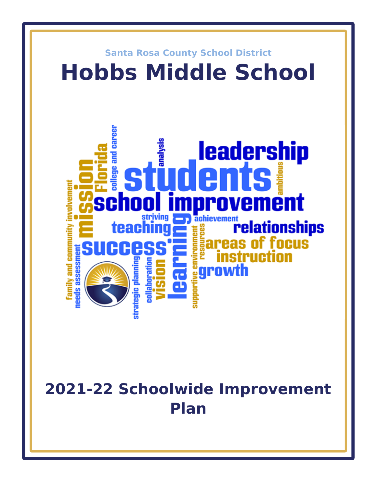

# **2021-22 Schoolwide Improvement Plan**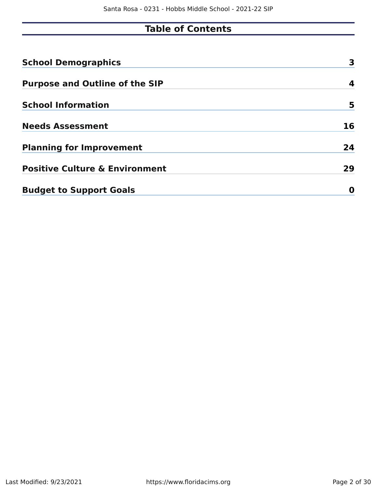# **Table of Contents**

| <b>School Demographics</b>                | 3  |
|-------------------------------------------|----|
| <b>Purpose and Outline of the SIP</b>     | 4  |
| <b>School Information</b>                 | 5  |
| <b>Needs Assessment</b>                   | 16 |
| <b>Planning for Improvement</b>           | 24 |
| <b>Positive Culture &amp; Environment</b> | 29 |
| <b>Budget to Support Goals</b>            | O  |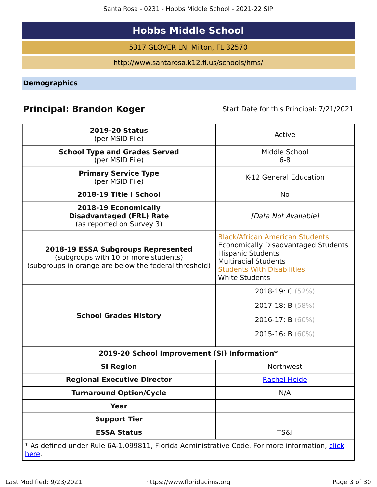Santa Rosa - 0231 - Hobbs Middle School - 2021-22 SIP

# **Hobbs Middle School**

5317 GLOVER LN, Milton, FL 32570

http://www.santarosa.k12.fl.us/schools/hms/

<span id="page-2-0"></span>**Demographics**

# **Principal: Brandon Koger** Start Date for this Principal: 7/21/2021

| <b>2019-20 Status</b><br>(per MSID File)                                                                                                   | Active                                                                                                                                                                                                        |  |  |  |  |  |
|--------------------------------------------------------------------------------------------------------------------------------------------|---------------------------------------------------------------------------------------------------------------------------------------------------------------------------------------------------------------|--|--|--|--|--|
| <b>School Type and Grades Served</b><br>(per MSID File)                                                                                    | Middle School<br>$6 - 8$                                                                                                                                                                                      |  |  |  |  |  |
| <b>Primary Service Type</b><br>(per MSID File)                                                                                             | K-12 General Education                                                                                                                                                                                        |  |  |  |  |  |
| 2018-19 Title I School                                                                                                                     | No.                                                                                                                                                                                                           |  |  |  |  |  |
| 2018-19 Economically<br><b>Disadvantaged (FRL) Rate</b><br>(as reported on Survey 3)                                                       | [Data Not Available]                                                                                                                                                                                          |  |  |  |  |  |
| <b>2018-19 ESSA Subgroups Represented</b><br>(subgroups with 10 or more students)<br>(subgroups in orange are below the federal threshold) | <b>Black/African American Students</b><br><b>Economically Disadvantaged Students</b><br><b>Hispanic Students</b><br><b>Multiracial Students</b><br><b>Students With Disabilities</b><br><b>White Students</b> |  |  |  |  |  |
| <b>School Grades History</b>                                                                                                               | 2018-19: C (52%)<br>2017-18: B (58%)<br>2016-17: B (60%)<br>2015-16: B $(60\%)$                                                                                                                               |  |  |  |  |  |
| 2019-20 School Improvement (SI) Information*                                                                                               |                                                                                                                                                                                                               |  |  |  |  |  |
| <b>SI Region</b>                                                                                                                           | Northwest                                                                                                                                                                                                     |  |  |  |  |  |
| <b>Regional Executive Director</b>                                                                                                         | <b>Rachel Heide</b>                                                                                                                                                                                           |  |  |  |  |  |
| <b>Turnaround Option/Cycle</b>                                                                                                             | N/A                                                                                                                                                                                                           |  |  |  |  |  |
| <b>Year</b>                                                                                                                                |                                                                                                                                                                                                               |  |  |  |  |  |
| <b>Support Tier</b>                                                                                                                        |                                                                                                                                                                                                               |  |  |  |  |  |
| <b>ESSA Status</b>                                                                                                                         | <b>TS&amp;I</b>                                                                                                                                                                                               |  |  |  |  |  |
| * As defined under Rule 6A-1.099811, Florida Administrative Code. For more information, click<br><u>here</u> .                             |                                                                                                                                                                                                               |  |  |  |  |  |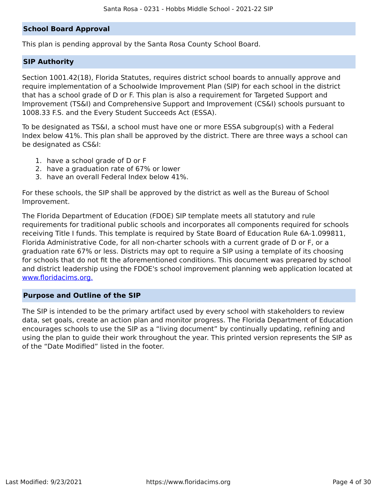#### **School Board Approval**

This plan is pending approval by the Santa Rosa County School Board.

#### **SIP Authority**

Section 1001.42(18), Florida Statutes, requires district school boards to annually approve and require implementation of a Schoolwide Improvement Plan (SIP) for each school in the district that has a school grade of D or F. This plan is also a requirement for Targeted Support and Improvement (TS&I) and Comprehensive Support and Improvement (CS&I) schools pursuant to 1008.33 F.S. and the Every Student Succeeds Act (ESSA).

To be designated as TS&I, a school must have one or more ESSA subgroup(s) with a Federal Index below 41%. This plan shall be approved by the district. There are three ways a school can be designated as CS&I:

- 1. have a school grade of D or F
- 2. have a graduation rate of 67% or lower
- 3. have an overall Federal Index below 41%.

For these schools, the SIP shall be approved by the district as well as the Bureau of School Improvement.

The Florida Department of Education (FDOE) SIP template meets all statutory and rule requirements for traditional public schools and incorporates all components required for schools receiving Title I funds. This template is required by State Board of Education Rule 6A-1.099811, Florida Administrative Code, for all non-charter schools with a current grade of D or F, or a graduation rate 67% or less. Districts may opt to require a SIP using a template of its choosing for schools that do not fit the aforementioned conditions. This document was prepared by school and district leadership using the FDOE's school improvement planning web application located at [www.floridacims.org.](https://www.floridacims.org)

#### <span id="page-3-0"></span>**Purpose and Outline of the SIP**

The SIP is intended to be the primary artifact used by every school with stakeholders to review data, set goals, create an action plan and monitor progress. The Florida Department of Education encourages schools to use the SIP as a "living document" by continually updating, refining and using the plan to guide their work throughout the year. This printed version represents the SIP as of the "Date Modified" listed in the footer.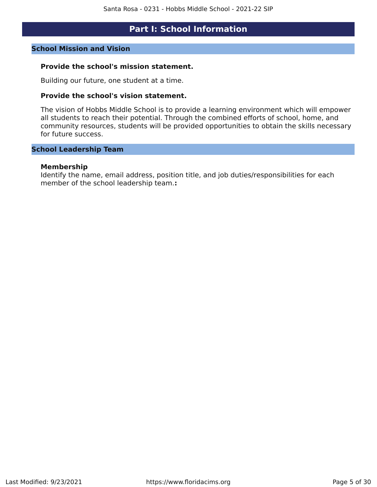## **Part I: School Information**

#### <span id="page-4-0"></span>**School Mission and Vision**

#### **Provide the school's mission statement.**

Building our future, one student at a time.

#### **Provide the school's vision statement.**

The vision of Hobbs Middle School is to provide a learning environment which will empower all students to reach their potential. Through the combined efforts of school, home, and community resources, students will be provided opportunities to obtain the skills necessary for future success.

#### **School Leadership Team**

#### **Membership**

Identify the name, email address, position title, and job duties/responsibilities for each member of the school leadership team.**:**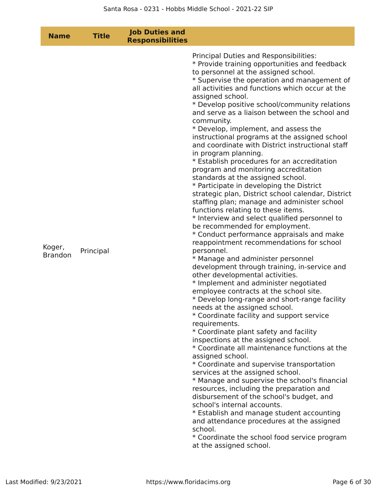| <b>Name</b>              | <b>Title</b> | <b>Job Duties and</b><br><b>Responsibilities</b> |                                                                                                                                                                                                                                                                                                                                                                                                                                                                                                                                                                                                                                                                                                                                                                                                                                                                                                                                                                                                                                                                                                                                                                                                                                                                                                                                                                                                                                                                                                                                                                                                                                                                                                                                                                                                                                                                                                                                                                                                                   |
|--------------------------|--------------|--------------------------------------------------|-------------------------------------------------------------------------------------------------------------------------------------------------------------------------------------------------------------------------------------------------------------------------------------------------------------------------------------------------------------------------------------------------------------------------------------------------------------------------------------------------------------------------------------------------------------------------------------------------------------------------------------------------------------------------------------------------------------------------------------------------------------------------------------------------------------------------------------------------------------------------------------------------------------------------------------------------------------------------------------------------------------------------------------------------------------------------------------------------------------------------------------------------------------------------------------------------------------------------------------------------------------------------------------------------------------------------------------------------------------------------------------------------------------------------------------------------------------------------------------------------------------------------------------------------------------------------------------------------------------------------------------------------------------------------------------------------------------------------------------------------------------------------------------------------------------------------------------------------------------------------------------------------------------------------------------------------------------------------------------------------------------------|
| Koger,<br><b>Brandon</b> | Principal    |                                                  | Principal Duties and Responsibilities:<br>* Provide training opportunities and feedback<br>to personnel at the assigned school.<br>* Supervise the operation and management of<br>all activities and functions which occur at the<br>assigned school.<br>* Develop positive school/community relations<br>and serve as a liaison between the school and<br>community.<br>* Develop, implement, and assess the<br>instructional programs at the assigned school<br>and coordinate with District instructional staff<br>in program planning.<br>* Establish procedures for an accreditation<br>program and monitoring accreditation<br>standards at the assigned school.<br>* Participate in developing the District<br>strategic plan, District school calendar, District<br>staffing plan; manage and administer school<br>functions relating to these items.<br>* Interview and select qualified personnel to<br>be recommended for employment.<br>* Conduct performance appraisals and make<br>reappointment recommendations for school<br>personnel.<br>* Manage and administer personnel<br>development through training, in-service and<br>other developmental activities.<br>* Implement and administer negotiated<br>employee contracts at the school site.<br>* Develop long-range and short-range facility<br>needs at the assigned school.<br>* Coordinate facility and support service<br>requirements.<br>* Coordinate plant safety and facility<br>inspections at the assigned school.<br>* Coordinate all maintenance functions at the<br>assigned school.<br>* Coordinate and supervise transportation<br>services at the assigned school.<br>* Manage and supervise the school's financial<br>resources, including the preparation and<br>disbursement of the school's budget, and<br>school's internal accounts.<br>* Establish and manage student accounting<br>and attendance procedures at the assigned<br>school.<br>* Coordinate the school food service program<br>at the assigned school. |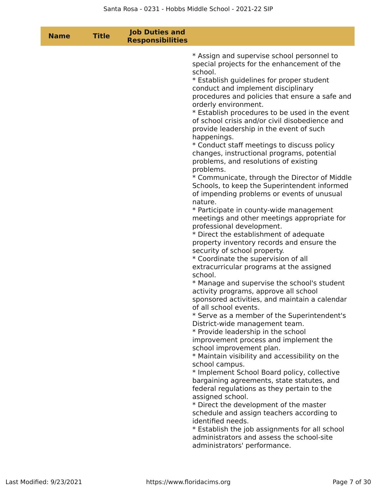| <b>Name</b> | <b>Title</b> | <b>Job Duties and</b><br><b>Responsibilities</b> |                                                                                                                                                                                                                                                                                                                                                                                                                                                                                                                                                                                                                                                                                                                                                                                                                                                                                                                                                                                                                                                                                                                                                                                                                                                                                                                                                                                                                                                       |
|-------------|--------------|--------------------------------------------------|-------------------------------------------------------------------------------------------------------------------------------------------------------------------------------------------------------------------------------------------------------------------------------------------------------------------------------------------------------------------------------------------------------------------------------------------------------------------------------------------------------------------------------------------------------------------------------------------------------------------------------------------------------------------------------------------------------------------------------------------------------------------------------------------------------------------------------------------------------------------------------------------------------------------------------------------------------------------------------------------------------------------------------------------------------------------------------------------------------------------------------------------------------------------------------------------------------------------------------------------------------------------------------------------------------------------------------------------------------------------------------------------------------------------------------------------------------|
|             |              |                                                  | * Assign and supervise school personnel to<br>special projects for the enhancement of the<br>school.<br>* Establish guidelines for proper student<br>conduct and implement disciplinary<br>procedures and policies that ensure a safe and<br>orderly environment.<br>* Establish procedures to be used in the event<br>of school crisis and/or civil disobedience and<br>provide leadership in the event of such<br>happenings.<br>* Conduct staff meetings to discuss policy<br>changes, instructional programs, potential<br>problems, and resolutions of existing<br>problems.<br>* Communicate, through the Director of Middle<br>Schools, to keep the Superintendent informed<br>of impending problems or events of unusual<br>nature.<br>* Participate in county-wide management<br>meetings and other meetings appropriate for<br>professional development.<br>* Direct the establishment of adequate<br>property inventory records and ensure the<br>security of school property.<br>* Coordinate the supervision of all<br>extracurricular programs at the assigned<br>school.<br>* Manage and supervise the school's student<br>activity programs, approve all school<br>sponsored activities, and maintain a calendar<br>of all school events.<br>* Serve as a member of the Superintendent's<br>District-wide management team.<br>* Provide leadership in the school<br>improvement process and implement the<br>school improvement plan. |
|             |              |                                                  | * Maintain visibility and accessibility on the<br>school campus.<br>* Implement School Board policy, collective                                                                                                                                                                                                                                                                                                                                                                                                                                                                                                                                                                                                                                                                                                                                                                                                                                                                                                                                                                                                                                                                                                                                                                                                                                                                                                                                       |
|             |              |                                                  | bargaining agreements, state statutes, and<br>federal regulations as they pertain to the<br>assigned school.<br>* Direct the development of the master                                                                                                                                                                                                                                                                                                                                                                                                                                                                                                                                                                                                                                                                                                                                                                                                                                                                                                                                                                                                                                                                                                                                                                                                                                                                                                |
|             |              |                                                  | schedule and assign teachers according to<br>identified needs.<br>* Establish the job assignments for all school                                                                                                                                                                                                                                                                                                                                                                                                                                                                                                                                                                                                                                                                                                                                                                                                                                                                                                                                                                                                                                                                                                                                                                                                                                                                                                                                      |
|             |              |                                                  | administrators and assess the school-site<br>administrators' performance.                                                                                                                                                                                                                                                                                                                                                                                                                                                                                                                                                                                                                                                                                                                                                                                                                                                                                                                                                                                                                                                                                                                                                                                                                                                                                                                                                                             |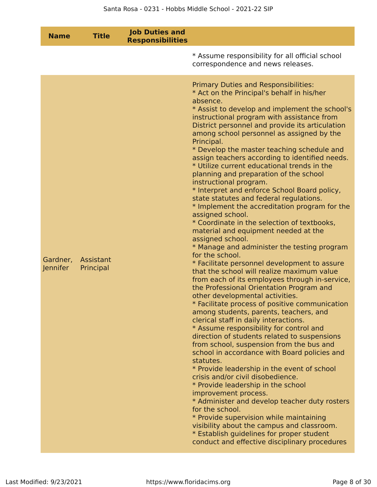| <b>Name</b>          | <b>Title</b>           | <b>Job Duties and</b><br><b>Responsibilities</b> |                                                                                                                                                                                                                                                                                                                                                                                                                                                                                                                                                                                                                                                                                                                                                                                                                                                                                                                                                                                                                                                                                                                                                                                                                                                                                                                                                                                                                                                                                                                                                                                                                                                                                                                                                                                                                                                                          |
|----------------------|------------------------|--------------------------------------------------|--------------------------------------------------------------------------------------------------------------------------------------------------------------------------------------------------------------------------------------------------------------------------------------------------------------------------------------------------------------------------------------------------------------------------------------------------------------------------------------------------------------------------------------------------------------------------------------------------------------------------------------------------------------------------------------------------------------------------------------------------------------------------------------------------------------------------------------------------------------------------------------------------------------------------------------------------------------------------------------------------------------------------------------------------------------------------------------------------------------------------------------------------------------------------------------------------------------------------------------------------------------------------------------------------------------------------------------------------------------------------------------------------------------------------------------------------------------------------------------------------------------------------------------------------------------------------------------------------------------------------------------------------------------------------------------------------------------------------------------------------------------------------------------------------------------------------------------------------------------------------|
|                      |                        |                                                  | * Assume responsibility for all official school<br>correspondence and news releases.                                                                                                                                                                                                                                                                                                                                                                                                                                                                                                                                                                                                                                                                                                                                                                                                                                                                                                                                                                                                                                                                                                                                                                                                                                                                                                                                                                                                                                                                                                                                                                                                                                                                                                                                                                                     |
| Gardner,<br>Jennifer | Assistant<br>Principal |                                                  | <b>Primary Duties and Responsibilities:</b><br>* Act on the Principal's behalf in his/her<br>absence.<br>* Assist to develop and implement the school's<br>instructional program with assistance from<br>District personnel and provide its articulation<br>among school personnel as assigned by the<br>Principal.<br>* Develop the master teaching schedule and<br>assign teachers according to identified needs.<br>* Utilize current educational trends in the<br>planning and preparation of the school<br>instructional program.<br>* Interpret and enforce School Board policy,<br>state statutes and federal regulations.<br>* Implement the accreditation program for the<br>assigned school.<br>* Coordinate in the selection of textbooks,<br>material and equipment needed at the<br>assigned school.<br>* Manage and administer the testing program<br>for the school.<br>* Facilitate personnel development to assure<br>that the school will realize maximum value<br>from each of its employees through in-service,<br>the Professional Orientation Program and<br>other developmental activities.<br>* Facilitate process of positive communication<br>among students, parents, teachers, and<br>clerical staff in daily interactions.<br>* Assume responsibility for control and<br>direction of students related to suspensions<br>from school, suspension from the bus and<br>school in accordance with Board policies and<br>statutes.<br>* Provide leadership in the event of school<br>crisis and/or civil disobedience.<br>* Provide leadership in the school<br>improvement process.<br>* Administer and develop teacher duty rosters<br>for the school.<br>* Provide supervision while maintaining<br>visibility about the campus and classroom.<br>* Establish guidelines for proper student<br>conduct and effective disciplinary procedures |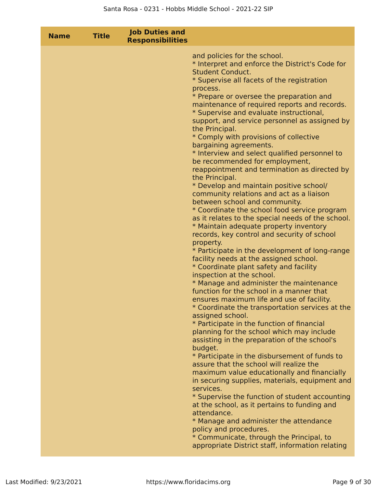| <b>Name</b> | <b>Title</b> | <b>Job Duties and</b><br><b>Responsibilities</b> |                                                                                                                                                                                                                                                                                                                                                                                                                                                                                                                                                                                                                                                                                                                                                                                                                                                                                                                                                                                                                                                                                                                                                                                                                                                                                                                                                                                                                                                                                                                                                                                                                                                                                                                                                                                                                                                                                                                                                                               |
|-------------|--------------|--------------------------------------------------|-------------------------------------------------------------------------------------------------------------------------------------------------------------------------------------------------------------------------------------------------------------------------------------------------------------------------------------------------------------------------------------------------------------------------------------------------------------------------------------------------------------------------------------------------------------------------------------------------------------------------------------------------------------------------------------------------------------------------------------------------------------------------------------------------------------------------------------------------------------------------------------------------------------------------------------------------------------------------------------------------------------------------------------------------------------------------------------------------------------------------------------------------------------------------------------------------------------------------------------------------------------------------------------------------------------------------------------------------------------------------------------------------------------------------------------------------------------------------------------------------------------------------------------------------------------------------------------------------------------------------------------------------------------------------------------------------------------------------------------------------------------------------------------------------------------------------------------------------------------------------------------------------------------------------------------------------------------------------------|
|             |              |                                                  | and policies for the school.<br>* Interpret and enforce the District's Code for<br><b>Student Conduct.</b><br>* Supervise all facets of the registration<br>process.<br>* Prepare or oversee the preparation and<br>maintenance of required reports and records.<br>* Supervise and evaluate instructional,<br>support, and service personnel as assigned by<br>the Principal.<br>* Comply with provisions of collective<br>bargaining agreements.<br>* Interview and select qualified personnel to<br>be recommended for employment,<br>reappointment and termination as directed by<br>the Principal.<br>* Develop and maintain positive school/<br>community relations and act as a liaison<br>between school and community.<br>* Coordinate the school food service program<br>as it relates to the special needs of the school.<br>* Maintain adequate property inventory<br>records, key control and security of school<br>property.<br>* Participate in the development of long-range<br>facility needs at the assigned school.<br>* Coordinate plant safety and facility<br>inspection at the school.<br>* Manage and administer the maintenance<br>function for the school in a manner that<br>ensures maximum life and use of facility.<br>* Coordinate the transportation services at the<br>assigned school.<br>* Participate in the function of financial<br>planning for the school which may include<br>assisting in the preparation of the school's<br>budget.<br>* Participate in the disbursement of funds to<br>assure that the school will realize the<br>maximum value educationally and financially<br>in securing supplies, materials, equipment and<br>services.<br>* Supervise the function of student accounting<br>at the school, as it pertains to funding and<br>attendance.<br>* Manage and administer the attendance<br>policy and procedures.<br>* Communicate, through the Principal, to<br>appropriate District staff, information relating |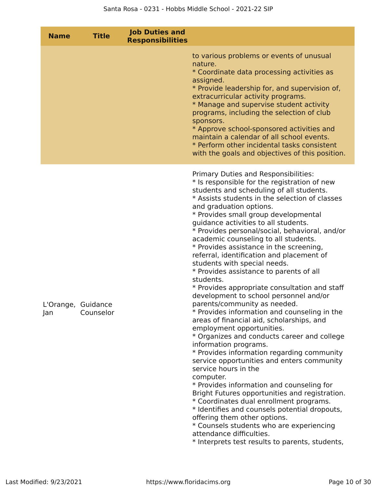| <b>Name</b> | <b>Title</b>                    | <b>Job Duties and</b><br><b>Responsibilities</b> |                                                                                                                                                                                                                                                                                                                                                                                                                                                                                                                                                                                                                                                                                                                                                                                                                                                                                                                                                                                                                                                                                                                                                                                                                                                                                                                                                                                             |
|-------------|---------------------------------|--------------------------------------------------|---------------------------------------------------------------------------------------------------------------------------------------------------------------------------------------------------------------------------------------------------------------------------------------------------------------------------------------------------------------------------------------------------------------------------------------------------------------------------------------------------------------------------------------------------------------------------------------------------------------------------------------------------------------------------------------------------------------------------------------------------------------------------------------------------------------------------------------------------------------------------------------------------------------------------------------------------------------------------------------------------------------------------------------------------------------------------------------------------------------------------------------------------------------------------------------------------------------------------------------------------------------------------------------------------------------------------------------------------------------------------------------------|
|             |                                 |                                                  | to various problems or events of unusual<br>nature.<br>* Coordinate data processing activities as<br>assigned.<br>* Provide leadership for, and supervision of,<br>extracurricular activity programs.<br>* Manage and supervise student activity<br>programs, including the selection of club<br>sponsors.<br>* Approve school-sponsored activities and<br>maintain a calendar of all school events.<br>* Perform other incidental tasks consistent<br>with the goals and objectives of this position.                                                                                                                                                                                                                                                                                                                                                                                                                                                                                                                                                                                                                                                                                                                                                                                                                                                                                      |
| Jan         | L'Orange, Guidance<br>Counselor |                                                  | Primary Duties and Responsibilities:<br>* Is responsible for the registration of new<br>students and scheduling of all students.<br>* Assists students in the selection of classes<br>and graduation options.<br>* Provides small group developmental<br>guidance activities to all students.<br>* Provides personal/social, behavioral, and/or<br>academic counseling to all students.<br>* Provides assistance in the screening,<br>referral, identification and placement of<br>students with special needs.<br>* Provides assistance to parents of all<br>students.<br>* Provides appropriate consultation and staff<br>development to school personnel and/or<br>parents/community as needed.<br>* Provides information and counseling in the<br>areas of financial aid, scholarships, and<br>employment opportunities.<br>* Organizes and conducts career and college<br>information programs.<br>* Provides information regarding community<br>service opportunities and enters community<br>service hours in the<br>computer.<br>* Provides information and counseling for<br>Bright Futures opportunities and registration.<br>* Coordinates dual enrollment programs.<br>* Identifies and counsels potential dropouts,<br>offering them other options.<br>* Counsels students who are experiencing<br>attendance difficulties.<br>* Interprets test results to parents, students, |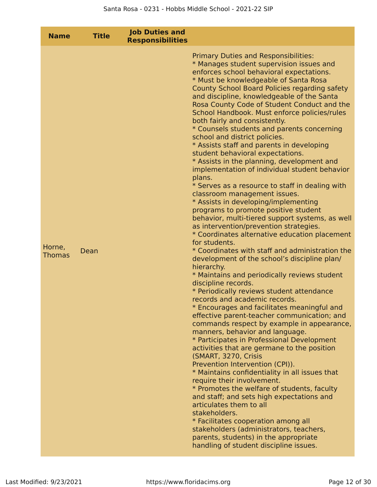| <b>Name</b>             | <b>Title</b> | <b>Job Duties and</b><br><b>Responsibilities</b> |                                                                                                                                                                                                                                                                                                                                                                                                                                                                                                                                                                                                                                                                                                                                                                                                                                                                                                                                                                                                                                                                                                                                                                                                                                                                                                                                                                                                                                                                                                                                                                                                                                                                                                                                                                                                                                                                                                                                                                                                                                  |
|-------------------------|--------------|--------------------------------------------------|----------------------------------------------------------------------------------------------------------------------------------------------------------------------------------------------------------------------------------------------------------------------------------------------------------------------------------------------------------------------------------------------------------------------------------------------------------------------------------------------------------------------------------------------------------------------------------------------------------------------------------------------------------------------------------------------------------------------------------------------------------------------------------------------------------------------------------------------------------------------------------------------------------------------------------------------------------------------------------------------------------------------------------------------------------------------------------------------------------------------------------------------------------------------------------------------------------------------------------------------------------------------------------------------------------------------------------------------------------------------------------------------------------------------------------------------------------------------------------------------------------------------------------------------------------------------------------------------------------------------------------------------------------------------------------------------------------------------------------------------------------------------------------------------------------------------------------------------------------------------------------------------------------------------------------------------------------------------------------------------------------------------------------|
| Horne,<br><b>Thomas</b> | Dean         |                                                  | <b>Primary Duties and Responsibilities:</b><br>* Manages student supervision issues and<br>enforces school behavioral expectations.<br>* Must be knowledgeable of Santa Rosa<br>County School Board Policies regarding safety<br>and discipline, knowledgeable of the Santa<br>Rosa County Code of Student Conduct and the<br>School Handbook. Must enforce policies/rules<br>both fairly and consistently.<br>* Counsels students and parents concerning<br>school and district policies.<br>* Assists staff and parents in developing<br>student behavioral expectations.<br>* Assists in the planning, development and<br>implementation of individual student behavior<br>plans.<br>* Serves as a resource to staff in dealing with<br>classroom management issues.<br>* Assists in developing/implementing<br>programs to promote positive student<br>behavior, multi-tiered support systems, as well<br>as intervention/prevention strategies.<br>* Coordinates alternative education placement<br>for students.<br>* Coordinates with staff and administration the<br>development of the school's discipline plan/<br>hierarchy.<br>* Maintains and periodically reviews student<br>discipline records.<br>* Periodically reviews student attendance<br>records and academic records.<br>* Encourages and facilitates meaningful and<br>effective parent-teacher communication; and<br>commands respect by example in appearance,<br>manners, behavior and language.<br>* Participates in Professional Development<br>activities that are germane to the position<br>(SMART, 3270, Crisis<br>Prevention Intervention (CPI)).<br>* Maintains confidentiality in all issues that<br>require their involvement.<br>* Promotes the welfare of students, faculty<br>and staff; and sets high expectations and<br>articulates them to all<br>stakeholders.<br>* Facilitates cooperation among all<br>stakeholders (administrators, teachers,<br>parents, students) in the appropriate<br>handling of student discipline issues. |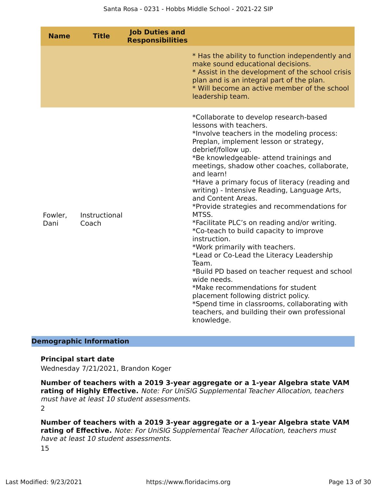| <b>Name</b>     | <b>Title</b>           | <b>Job Duties and</b><br><b>Responsibilities</b> |                                                                                                                                                                                                                                                                                                                                                                                                                                                                                                                                                                                                                                                                                                                                                                                                                                                                                                                                       |
|-----------------|------------------------|--------------------------------------------------|---------------------------------------------------------------------------------------------------------------------------------------------------------------------------------------------------------------------------------------------------------------------------------------------------------------------------------------------------------------------------------------------------------------------------------------------------------------------------------------------------------------------------------------------------------------------------------------------------------------------------------------------------------------------------------------------------------------------------------------------------------------------------------------------------------------------------------------------------------------------------------------------------------------------------------------|
|                 |                        |                                                  | * Has the ability to function independently and<br>make sound educational decisions.<br>* Assist in the development of the school crisis<br>plan and is an integral part of the plan.<br>* Will become an active member of the school<br>leadership team.                                                                                                                                                                                                                                                                                                                                                                                                                                                                                                                                                                                                                                                                             |
| Fowler,<br>Dani | Instructional<br>Coach |                                                  | *Collaborate to develop research-based<br>lessons with teachers.<br>*Involve teachers in the modeling process:<br>Preplan, implement lesson or strategy,<br>debrief/follow up.<br>*Be knowledgeable- attend trainings and<br>meetings, shadow other coaches, collaborate,<br>and learn!<br>*Have a primary focus of literacy (reading and<br>writing) - Intensive Reading, Language Arts,<br>and Content Areas.<br>*Provide strategies and recommendations for<br>MTSS.<br>*Facilitate PLC's on reading and/or writing.<br>*Co-teach to build capacity to improve<br>instruction.<br>*Work primarily with teachers.<br>*Lead or Co-Lead the Literacy Leadership<br>Team.<br>*Build PD based on teacher request and school<br>wide needs.<br>*Make recommendations for student<br>placement following district policy.<br>*Spend time in classrooms, collaborating with<br>teachers, and building their own professional<br>knowledge. |

#### **Demographic Information**

#### **Principal start date**

Wednesday 7/21/2021, Brandon Koger

**Number of teachers with a 2019 3-year aggregate or a 1-year Algebra state VAM rating of Highly Effective.** Note: For UniSIG Supplemental Teacher Allocation, teachers must have at least 10 student assessments.

2

**Number of teachers with a 2019 3-year aggregate or a 1-year Algebra state VAM rating of Effective.** Note: For UniSIG Supplemental Teacher Allocation, teachers must have at least 10 student assessments. 15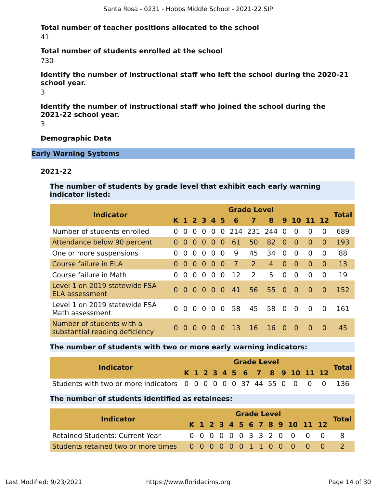#### **Total number of teacher positions allocated to the school** 41

# **Total number of students enrolled at the school**

730

**Identify the number of instructional staff who left the school during the 2020-21 school year.**

3

**Identify the number of instructional staff who joined the school during the 2021-22 school year.**

3

#### **Demographic Data**

#### **Early Warning Systems**

#### **2021-22**

**The number of students by grade level that exhibit each early warning indicator listed:**

|                                                             | <b>Grade Level</b> |                    |          |          |          |                |                |                |    |          |                |              |          |              |
|-------------------------------------------------------------|--------------------|--------------------|----------|----------|----------|----------------|----------------|----------------|----|----------|----------------|--------------|----------|--------------|
| <b>Indicator</b>                                            |                    | K 1 2 3 4 5        |          |          |          |                | 6              | $\overline{7}$ | 8  |          | 9 10 11 12     |              |          | <b>Total</b> |
| Number of students enrolled                                 | $\Omega$           | $\Omega$           | $\Omega$ | $\Omega$ | $\Omega$ | $\Omega$       |                | 214 231 244    |    | $\Omega$ | $\Omega$       | $\Omega$     | 0        | 689          |
| Attendance below 90 percent                                 | $\Omega$           | $\Omega$           | $\Omega$ | $\Omega$ | $\Omega$ | $\Omega$       | 61             | 50             | 82 | $\Omega$ | $\Omega$       | $\Omega$     | 0        | 193          |
| One or more suspensions                                     | 0                  | $\Omega$           | 0        | $\Omega$ | 0        | $\Omega$       | 9              | 45             | 34 | $\Omega$ | $\Omega$       | <sup>0</sup> | 0        | 88           |
| Course failure in ELA                                       | 0                  | $\Omega$           | $\Omega$ | $\Omega$ | $\Omega$ | $\Omega$       | $\overline{7}$ | $\mathcal{P}$  | 4  | $\Omega$ | $\Omega$       | $\Omega$     | $\Omega$ | 13           |
| Course failure in Math                                      | $\Omega$           | $\Omega$           | $\Omega$ | $\Omega$ | $\Omega$ | $\Omega$       | 12             | $\mathcal{P}$  | 5  | 0        | $\overline{0}$ | $\Omega$     | $\Omega$ | 19           |
| Level 1 on 2019 statewide FSA<br>ELA assessment             |                    | $0\,0\,0\,0\,0\,0$ |          |          |          |                | 41             | 56             | 55 | - 0      | $\Omega$       | $\Omega$     | $\Omega$ | 152          |
| Level 1 on 2019 statewide FSA<br>Math assessment            | $\Omega$           | $\Omega$           | $\Omega$ | $\Omega$ | $\Omega$ | $\overline{0}$ | 58             | 45             | 58 | $\Omega$ | $\Omega$       | $\Omega$     | $\Omega$ | 161          |
| Number of students with a<br>substantial reading deficiency |                    | $\Omega$           | $\Omega$ |          |          | $\Omega$       | 13             | 16             | 16 | $\Omega$ | $\Omega$       | $\Omega$     | $\Omega$ | 45           |

#### **The number of students with two or more early warning indicators:**

| <b>Indicator</b>                                                      |  | <b>Grade Level</b> |  |  |  |  |  |  |  |  |  |  |                              |              |
|-----------------------------------------------------------------------|--|--------------------|--|--|--|--|--|--|--|--|--|--|------------------------------|--------------|
|                                                                       |  |                    |  |  |  |  |  |  |  |  |  |  | K 1 2 3 4 5 6 7 8 9 10 11 12 | <b>Total</b> |
| Students with two or more indicators 0 0 0 0 0 0 37 44 55 0 0 0 0 136 |  |                    |  |  |  |  |  |  |  |  |  |  |                              |              |

#### **The number of students identified as retainees:**

|                                                      |  |  |  | <b>Grade Level</b> |  |  |                              |              |
|------------------------------------------------------|--|--|--|--------------------|--|--|------------------------------|--------------|
| <b>Indicator</b>                                     |  |  |  |                    |  |  | K 1 2 3 4 5 6 7 8 9 10 11 12 | <b>Total</b> |
| <b>Retained Students: Current Year</b>               |  |  |  |                    |  |  | 0 0 0 0 0 0 3 3 2 0 0 0 0    |              |
| Students retained two or more times 0000000110000000 |  |  |  |                    |  |  |                              |              |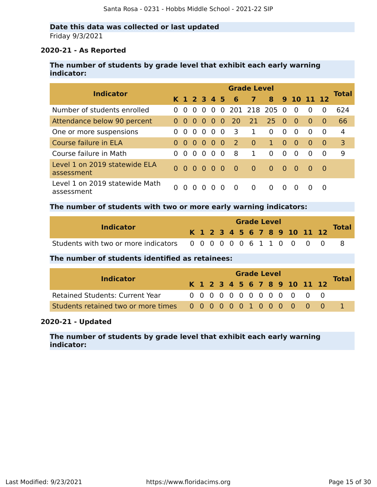#### **Date this data was collected or last updated** Friday 9/3/2021

#### **2020-21 - As Reported**

#### **The number of students by grade level that exhibit each early warning indicator:**

| <b>Indicator</b>                             |          |                                        |           |                   |              |                |              | <b>Grade Level</b> |              |                |                |             |          | <b>Total</b> |
|----------------------------------------------|----------|----------------------------------------|-----------|-------------------|--------------|----------------|--------------|--------------------|--------------|----------------|----------------|-------------|----------|--------------|
|                                              |          | K 1 2 3 4 5                            |           |                   |              |                | - 6          | 7                  |              |                | 8 9 10 11 12   |             |          |              |
| Number of students enrolled                  | $\Omega$ | $\Omega$                               | $\Omega$  | $\Omega$          | $\Omega$     |                |              | 0 201 218 205 0    |              |                | $\overline{0}$ | $\Omega$    | $\Omega$ | 624          |
| Attendance below 90 percent                  | $\Omega$ | $\Omega$                               | $00$ $00$ |                   |              | $\Omega$       | <b>20</b>    | 21                 | $25 \ 0$     |                | $\bullet$      | $\Omega$    | $\Omega$ | 66           |
| One or more suspensions                      | $\Omega$ | $\Omega$                               | $\Omega$  | $\Omega$          | $\Omega$     | $\overline{0}$ | 3            | $\mathbf{1}$       | $\Omega$     | $\Omega$       | $\Omega$       | $\Omega$    | $\Omega$ | 4            |
| Course failure in ELA                        | $\Omega$ | $\Omega$                               |           | $0\quad 0\quad 0$ |              | - 0            | <sup>2</sup> | $\overline{0}$     | $\mathbf{1}$ | $\Omega$       | $\overline{0}$ | $\Omega$    | $\Omega$ | 3            |
| Course failure in Math                       | $\Omega$ | $\Omega$                               | $\Omega$  | $\Omega$          | $\Omega$     | -0             | 8            | $\mathbf{1}$       | $\Omega$     | $\Omega$       | $\Omega$       | $\Omega$    | $\Omega$ | 9            |
| Level 1 on 2019 statewide ELA<br>assessment  |          | $0\quad 0\quad 0\quad 0\quad 0\quad 0$ |           |                   |              |                | 0            | $\overline{0}$     | $\Omega$     | $\blacksquare$ | <u>ິດ</u>      | $\bullet$ 0 | - 0      |              |
| Level 1 on 2019 statewide Math<br>assessment |          | $\Omega$                               | $\Omega$  |                   | $\mathbf{O}$ | $\Omega$       | $\Omega$     | $\Omega$           | 0            | $\Omega$       | $\Omega$       |             | $\Omega$ |              |

#### **The number of students with two or more early warning indicators:**

|                                                       |  |  |  | <b>Grade Level</b> |  |  |                              |              |
|-------------------------------------------------------|--|--|--|--------------------|--|--|------------------------------|--------------|
| <b>Indicator</b>                                      |  |  |  |                    |  |  | K 1 2 3 4 5 6 7 8 9 10 11 12 | <b>Total</b> |
| Students with two or more indicators 0000000611000000 |  |  |  |                    |  |  |                              |              |

#### **The number of students identified as retainees:**

|                                        |  |  |  |  | <b>Grade Level</b> |  |                              |              |
|----------------------------------------|--|--|--|--|--------------------|--|------------------------------|--------------|
| <b>Indicator</b>                       |  |  |  |  |                    |  | K 1 2 3 4 5 6 7 8 9 10 11 12 | <b>Total</b> |
| <b>Retained Students: Current Year</b> |  |  |  |  |                    |  | 0 0 0 0 0 0 0 0 0 0 0 0 0    |              |
|                                        |  |  |  |  |                    |  |                              |              |

#### **2020-21 - Updated**

**The number of students by grade level that exhibit each early warning indicator:**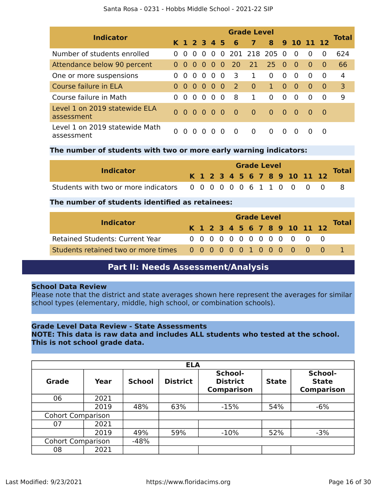| Santa Rosa - 0231 - Hobbs Middle School - 2021-22 SIP |
|-------------------------------------------------------|
|-------------------------------------------------------|

|                                              |          |          |                                                        |          |          |          |                | <b>Grade Level</b> |              |          |                |              |          |              |
|----------------------------------------------|----------|----------|--------------------------------------------------------|----------|----------|----------|----------------|--------------------|--------------|----------|----------------|--------------|----------|--------------|
| <b>Indicator</b>                             |          |          | K 1 2 3 4 5                                            |          |          |          | 6              | $\overline{7}$     |              |          |                | 8 9 10 11 12 |          | <b>Total</b> |
| Number of students enrolled                  | $\Omega$ | $\Omega$ | $\Omega$                                               | $\Omega$ | $\Omega$ |          |                | 0 201 218 205      |              | - 0      | $\overline{0}$ | $\Omega$     | $\Omega$ | 624          |
| Attendance below 90 percent                  | $\Omega$ | $\Omega$ | - 0 -                                                  | - 0      | $\Omega$ | 0        | <b>20</b>      | 21                 | 25.          | - 0      | $\bullet$      | $\Omega$     | $\Omega$ | 66           |
| One or more suspensions                      |          | $\Omega$ | $\Omega$                                               | $\Omega$ | $\Omega$ | 0        | 3              | $\mathbf{1}$       | $\Omega$     | $\Omega$ | $\Omega$       | $\Omega$     | 0        | 4            |
| Course failure in ELA                        | $\Omega$ | $\Omega$ | $\Omega$                                               | $\Omega$ | $\Omega$ | -0       | <sup>2</sup>   | $\overline{0}$     | $\mathbf{1}$ | $\Omega$ | $\Omega$       | $\Omega$     | $\Omega$ | 3            |
| Course failure in Math                       | $\Omega$ | $\Omega$ | $\Omega$                                               | $\Omega$ | $\Omega$ | 0        | 8              | $\mathbf{1}$       | $\Omega$     | $\Omega$ | $\Omega$       | $\Omega$     | $\Omega$ | 9            |
| Level 1 on 2019 statewide ELA<br>assessment  |          | n n      | $\begin{array}{ccccccccc}\n0 & 0 & 0 & 0\n\end{array}$ |          |          |          | $\overline{0}$ | $\overline{0}$     | $\Omega$     | - റ      | _ റ            | $\Omega$     | - 0      |              |
| Level 1 on 2019 statewide Math<br>assessment |          | $\Omega$ | $\mathbf{\Omega}$                                      | $\Omega$ | O        | $\Omega$ | $\Omega$       | $\Omega$           | <sup>0</sup> | $\Omega$ | $\Omega$       |              | $\Omega$ |              |

#### **The number of students with two or more early warning indicators:**

| <b>Indicator</b>                                     |  |  |  | <b>Grade Level</b> |  |  |                              |              |
|------------------------------------------------------|--|--|--|--------------------|--|--|------------------------------|--------------|
|                                                      |  |  |  |                    |  |  | K 1 2 3 4 5 6 7 8 9 10 11 12 | <b>Total</b> |
| Students with two or more indicators 000000061100000 |  |  |  |                    |  |  |                              |              |

#### **The number of students identified as retainees:**

|                                                      |  |  |  | <b>Grade Level</b> |  |  |                              |              |
|------------------------------------------------------|--|--|--|--------------------|--|--|------------------------------|--------------|
| <b>Indicator</b>                                     |  |  |  |                    |  |  | K 1 2 3 4 5 6 7 8 9 10 11 12 | <b>Total</b> |
| <b>Retained Students: Current Year</b>               |  |  |  |                    |  |  | 0 0 0 0 0 0 0 0 0 0 0 0 0    |              |
| Students retained two or more times 0000000100000000 |  |  |  |                    |  |  |                              |              |

### **Part II: Needs Assessment/Analysis**

#### <span id="page-15-0"></span>**School Data Review**

Please note that the district and state averages shown here represent the averages for similar school types (elementary, middle, high school, or combination schools).

#### **Grade Level Data Review - State Assessments**

**NOTE: This data is raw data and includes ALL students who tested at the school. This is not school grade data.**

|                          |      |               | <b>ELA</b>      |                                                 |              |                                              |
|--------------------------|------|---------------|-----------------|-------------------------------------------------|--------------|----------------------------------------------|
| <b>Grade</b>             | Year | <b>School</b> | <b>District</b> | School-<br><b>District</b><br><b>Comparison</b> | <b>State</b> | School-<br><b>State</b><br><b>Comparison</b> |
| 06                       | 2021 |               |                 |                                                 |              |                                              |
|                          | 2019 | 48%           | 63%             | $-15%$                                          | 54%          | $-6%$                                        |
| <b>Cohort Comparison</b> |      |               |                 |                                                 |              |                                              |
| 07                       | 2021 |               |                 |                                                 |              |                                              |
|                          | 2019 | 49%           | 59%             | $-10%$                                          | 52%          | $-3%$                                        |
| <b>Cohort Comparison</b> |      | $-48%$        |                 |                                                 |              |                                              |
| 08                       | 2021 |               |                 |                                                 |              |                                              |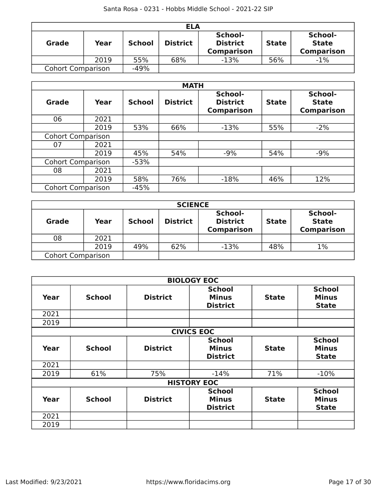|                          |      |               | <b>ELA</b>      |                                                 |              |                                              |
|--------------------------|------|---------------|-----------------|-------------------------------------------------|--------------|----------------------------------------------|
| Grade                    | Year | <b>School</b> | <b>District</b> | School-<br><b>District</b><br><b>Comparison</b> | <b>State</b> | School-<br><b>State</b><br><b>Comparison</b> |
|                          | 2019 | 55%           | 68%             | $-13%$                                          | 56%          | $-1%$                                        |
| <b>Cohort Comparison</b> |      | $-49%$        |                 |                                                 |              |                                              |

|                          |      |               | <b>MATH</b>     |                                                 |              |                                              |
|--------------------------|------|---------------|-----------------|-------------------------------------------------|--------------|----------------------------------------------|
| <b>Grade</b>             | Year | <b>School</b> | <b>District</b> | School-<br><b>District</b><br><b>Comparison</b> | <b>State</b> | School-<br><b>State</b><br><b>Comparison</b> |
| 06                       | 2021 |               |                 |                                                 |              |                                              |
|                          | 2019 | 53%           | 66%             | $-13%$                                          | 55%          | $-2%$                                        |
| <b>Cohort Comparison</b> |      |               |                 |                                                 |              |                                              |
| 07                       | 2021 |               |                 |                                                 |              |                                              |
|                          | 2019 | 45%           | 54%             | $-9%$                                           | 54%          | $-9%$                                        |
| <b>Cohort Comparison</b> |      | $-53%$        |                 |                                                 |              |                                              |
| 08                       | 2021 |               |                 |                                                 |              |                                              |
|                          | 2019 | 58%           | 76%             | $-18%$                                          | 46%          | 12%                                          |
| <b>Cohort Comparison</b> |      | $-45%$        |                 |                                                 |              |                                              |

|                          |      |               | <b>SCIENCE</b>  |                                                 |              |                                              |
|--------------------------|------|---------------|-----------------|-------------------------------------------------|--------------|----------------------------------------------|
| <b>Grade</b>             | Year | <b>School</b> | <b>District</b> | School-<br><b>District</b><br><b>Comparison</b> | <b>State</b> | School-<br><b>State</b><br><b>Comparison</b> |
| 08                       | 2021 |               |                 |                                                 |              |                                              |
|                          | 2019 | 49%           | 62%             | $-13%$                                          | 48%          | 1%                                           |
| <b>Cohort Comparison</b> |      |               |                 |                                                 |              |                                              |

|      |               |                 | <b>BIOLOGY EOC</b>                               |              |                                               |
|------|---------------|-----------------|--------------------------------------------------|--------------|-----------------------------------------------|
| Year | <b>School</b> | <b>District</b> | <b>School</b><br><b>Minus</b><br><b>District</b> | <b>State</b> | <b>School</b><br><b>Minus</b><br><b>State</b> |
| 2021 |               |                 |                                                  |              |                                               |
| 2019 |               |                 |                                                  |              |                                               |
|      |               |                 | <b>CIVICS EOC</b>                                |              |                                               |
| Year | <b>School</b> | <b>District</b> | <b>School</b><br><b>Minus</b><br><b>District</b> | <b>State</b> | <b>School</b><br><b>Minus</b><br><b>State</b> |
| 2021 |               |                 |                                                  |              |                                               |
| 2019 | 61%           | 75%             | $-14%$                                           | 71%          | $-10%$                                        |
|      |               |                 | <b>HISTORY EOC</b>                               |              |                                               |
| Year | <b>School</b> | <b>District</b> | <b>School</b><br><b>Minus</b><br><b>District</b> | <b>State</b> | <b>School</b><br><b>Minus</b><br><b>State</b> |
| 2021 |               |                 |                                                  |              |                                               |
| 2019 |               |                 |                                                  |              |                                               |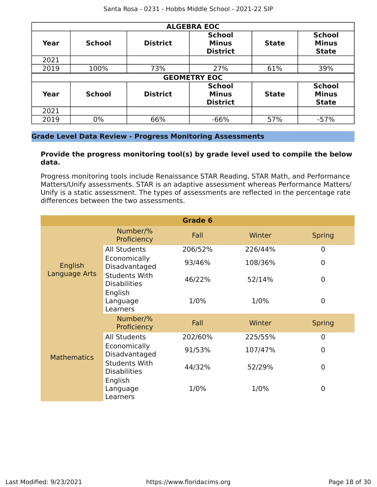| <b>ALGEBRA EOC</b> |               |                 |                                                  |              |                                               |
|--------------------|---------------|-----------------|--------------------------------------------------|--------------|-----------------------------------------------|
| Year               | <b>School</b> | <b>District</b> | <b>School</b><br><b>Minus</b><br><b>District</b> | <b>State</b> | <b>School</b><br><b>Minus</b><br><b>State</b> |
| 2021               |               |                 |                                                  |              |                                               |
| 2019               | 100%          | 73%             | 27%                                              | 61%          | 39%                                           |
|                    |               |                 | <b>GEOMETRY EOC</b>                              |              |                                               |
| Year               | <b>School</b> | <b>District</b> | <b>School</b><br><b>Minus</b><br><b>District</b> | <b>State</b> | <b>School</b><br><b>Minus</b><br><b>State</b> |
| 2021               |               |                 |                                                  |              |                                               |
| 2019               | 0%            | 66%             | $-66%$                                           | 57%          | $-57%$                                        |

#### **Grade Level Data Review - Progress Monitoring Assessments**

#### **Provide the progress monitoring tool(s) by grade level used to compile the below data.**

Progress monitoring tools include Renaissance STAR Reading, STAR Math, and Performance Matters/Unify assessments. STAR is an adaptive assessment whereas Performance Matters/ Unify is a static assessment. The types of assessments are reflected in the percentage rate differences between the two assessments.

|                    |                                             | Grade 6 |         |                |
|--------------------|---------------------------------------------|---------|---------|----------------|
|                    | Number/%<br>Proficiency                     | Fall    | Winter  | <b>Spring</b>  |
|                    | <b>All Students</b>                         | 206/52% | 226/44% | $\mathbf 0$    |
| English            | Economically<br>Disadvantaged               | 93/46%  | 108/36% | $\overline{0}$ |
| Language Arts      | <b>Students With</b><br><b>Disabilities</b> | 46/22%  | 52/14%  | $\mathbf 0$    |
|                    | English<br>Language<br>Learners             | 1/0%    | 1/0%    | $\mathbf 0$    |
|                    | Number/%<br>Proficiency                     | Fall    | Winter  | <b>Spring</b>  |
|                    | <b>All Students</b>                         | 202/60% | 225/55% | $\overline{0}$ |
| <b>Mathematics</b> | Economically<br>Disadvantaged               | 91/53%  | 107/47% | $\Omega$       |
|                    | <b>Students With</b><br><b>Disabilities</b> | 44/32%  | 52/29%  | $\overline{0}$ |
|                    | English<br>Language<br>Learners             | 1/0%    | 1/0%    | $\overline{0}$ |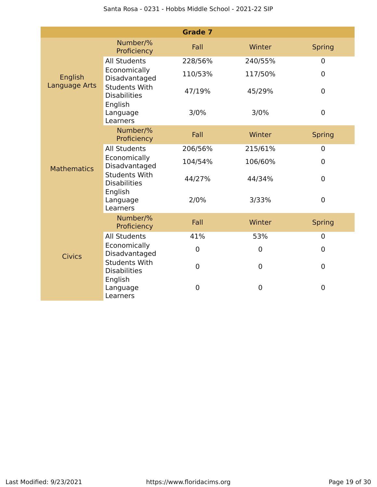|                    |                                             | <b>Grade 7</b> |             |                |
|--------------------|---------------------------------------------|----------------|-------------|----------------|
|                    | Number/%<br>Proficiency                     | Fall           | Winter      | <b>Spring</b>  |
|                    | <b>All Students</b>                         | 228/56%        | 240/55%     | $\mathbf 0$    |
| English            | Economically<br>Disadvantaged               | 110/53%        | 117/50%     | $\overline{0}$ |
| Language Arts      | <b>Students With</b><br><b>Disabilities</b> | 47/19%         | 45/29%      | $\mathbf 0$    |
|                    | English<br>Language<br>Learners             | 3/0%           | 3/0%        | $\mathbf 0$    |
|                    | Number/%<br>Proficiency                     | Fall           | Winter      | <b>Spring</b>  |
|                    | <b>All Students</b>                         | 206/56%        | 215/61%     | $\mathbf 0$    |
| <b>Mathematics</b> | Economically<br>Disadvantaged               | 104/54%        | 106/60%     | $\overline{0}$ |
|                    | <b>Students With</b><br><b>Disabilities</b> | 44/27%         | 44/34%      | $\mathbf 0$    |
|                    | English<br>Language<br>Learners             | 2/0%           | 3/33%       | $\mathbf 0$    |
|                    | Number/%<br>Proficiency                     | Fall           | Winter      | <b>Spring</b>  |
|                    | <b>All Students</b>                         | 41%            | 53%         | $\mathbf 0$    |
| <b>Civics</b>      | Economically<br>Disadvantaged               | $\mathbf 0$    | $\mathbf 0$ | $\mathbf 0$    |
|                    | <b>Students With</b><br><b>Disabilities</b> | $\mathbf 0$    | $\mathbf 0$ | $\mathbf 0$    |
|                    | English<br>Language<br>Learners             | 0              | 0           | $\mathbf 0$    |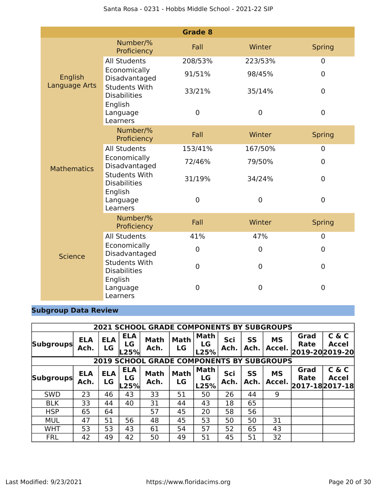|                    |                                             | <b>Grade 8</b> |                  |                  |
|--------------------|---------------------------------------------|----------------|------------------|------------------|
|                    | Number/%<br>Proficiency                     | Fall           | Winter           | <b>Spring</b>    |
|                    | <b>All Students</b>                         | 208/53%        | 223/53%          | $\boldsymbol{0}$ |
| English            | Economically<br>Disadvantaged               | 91/51%         | 98/45%           | $\overline{0}$   |
| Language Arts      | <b>Students With</b><br><b>Disabilities</b> | 33/21%         | 35/14%           | $\overline{0}$   |
|                    | English<br>Language<br>Learners             | $\mathbf 0$    | $\mathbf 0$      | $\pmb{0}$        |
|                    | Number/%<br>Proficiency                     | Fall           | Winter           | <b>Spring</b>    |
|                    | <b>All Students</b>                         | 153/41%        | 167/50%          | $\boldsymbol{0}$ |
| <b>Mathematics</b> | Economically<br>Disadvantaged               | 72/46%         | 79/50%           | $\overline{0}$   |
|                    | <b>Students With</b><br><b>Disabilities</b> | 31/19%         | 34/24%           | $\mathbf 0$      |
|                    | English<br>Language<br>Learners             | $\mathbf 0$    | $\boldsymbol{0}$ | $\pmb{0}$        |
|                    | Number/%<br>Proficiency                     | Fall           | Winter           | <b>Spring</b>    |
|                    | <b>All Students</b>                         | 41%            | 47%              | $\boldsymbol{0}$ |
| <b>Science</b>     | Economically<br>Disadvantaged               | $\mathbf 0$    | 0                | $\mathbf 0$      |
|                    | <b>Students With</b><br><b>Disabilities</b> | $\mathbf 0$    | $\mathbf 0$      | $\mathbf 0$      |
|                    | English<br>Language<br>Learners             | 0              | 0                | $\mathbf 0$      |

### **Subgroup Data Review**

|                  | <b>2021 SCHOOL GRADE COMPONENTS BY SUBGROUPS</b> |                  |                          |                                                  |                   |                           |             |                   |                     |                                        |                       |
|------------------|--------------------------------------------------|------------------|--------------------------|--------------------------------------------------|-------------------|---------------------------|-------------|-------------------|---------------------|----------------------------------------|-----------------------|
| <b>Subgroups</b> | <b>ELA</b><br>Ach.                               | <b>ELA</b><br>LG | <b>ELA</b><br>LG<br>L25% | <b>Math</b><br>Ach.                              | <b>Math</b><br>LG | Math<br>LG<br>L25%        | Sci<br>Ach. | <b>SS</b><br>Ach. | <b>MS</b><br>Accel. | Grad<br><b>Rate</b><br>2019-20 2019-20 | C & C<br><b>Accel</b> |
|                  |                                                  |                  |                          | <b>2019 SCHOOL GRADE COMPONENTS BY SUBGROUPS</b> |                   |                           |             |                   |                     |                                        |                       |
| <b>Subgroups</b> | <b>ELA</b><br>Ach.                               | <b>ELA</b><br>LG | <b>ELA</b><br>LG<br>L25% | <b>Math</b><br>Ach.                              | <b>Math</b><br>LG | <b>Math</b><br>LG<br>L25% | Sci<br>Ach. | <b>SS</b><br>Ach. | <b>MS</b><br>Accel. | Grad<br><b>Rate</b><br>2017-18 2017-18 | C & C<br><b>Accel</b> |
| <b>SWD</b>       | 23                                               | 46               | 43                       | 33                                               | 51                | 50                        | 26          | 44                | 9                   |                                        |                       |
| <b>BLK</b>       | 33                                               | 44               | 40                       | 31                                               | 44                | 43                        | 18          | 65                |                     |                                        |                       |
| <b>HSP</b>       | 65                                               | 64               |                          | 57                                               | 45                | 20                        | 58          | 56                |                     |                                        |                       |
| <b>MUL</b>       | 47                                               | 51               | 56                       | 48                                               | 45                | 53                        | 50          | 50                | 31                  |                                        |                       |
| <b>WHT</b>       | 53                                               | 53               | 43                       | 61                                               | 54                | 57                        | 52          | 65                | 43                  |                                        |                       |
| <b>FRL</b>       | 42                                               | 49               | 42                       | 50                                               | 49                | 51                        | 45          | 51                | 32                  |                                        |                       |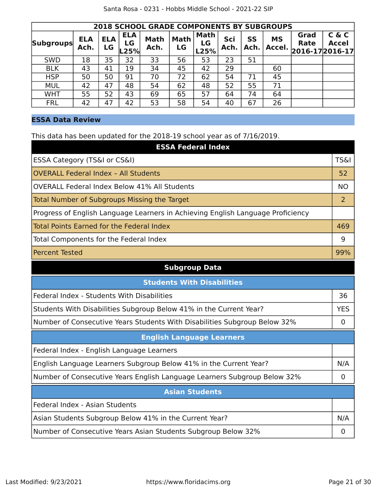|                  | <b>2018 SCHOOL GRADE COMPONENTS BY SUBGROUPS</b> |                  |                          |                     |                   |                           |             |                   |                     |                                 |                       |
|------------------|--------------------------------------------------|------------------|--------------------------|---------------------|-------------------|---------------------------|-------------|-------------------|---------------------|---------------------------------|-----------------------|
| <b>Subgroups</b> | <b>ELA</b><br>Ach.                               | <b>ELA</b><br>LG | <b>ELA</b><br>LG<br>L25% | <b>Math</b><br>Ach. | <b>Math</b><br>LG | <b>Math</b><br>LG<br>L25% | Sci<br>Ach. | <b>SS</b><br>Ach. | <b>MS</b><br>Accel. | Grad<br>Rate<br>2016-17 2016-17 | C & C<br><b>Accel</b> |
| <b>SWD</b>       | 18                                               | 35               | 32                       | 33                  | 56                | 53                        | 23          | 51                |                     |                                 |                       |
| <b>BLK</b>       | 43                                               | 41               | 19                       | 34                  | 45                | 42                        | 29          |                   | 60                  |                                 |                       |
| <b>HSP</b>       | 50                                               | 50               | 91                       | 70                  | 72                | 62                        | 54          | 71                | 45                  |                                 |                       |
| <b>MUL</b>       | 42                                               | 47               | 48                       | 54                  | 62                | 48                        | 52          | 55                | 71                  |                                 |                       |
| <b>WHT</b>       | 55                                               | 52               | 43                       | 69                  | 65                | 57                        | 64          | 74                | 64                  |                                 |                       |
| <b>FRL</b>       | 42                                               | 47               | 42                       | 53                  | 58                | 54                        | 40          | 67                | 26                  |                                 |                       |

#### **ESSA Data Review**

This data has been updated for the 2018-19 school year as of 7/16/2019.

| <b>ESSA Federal Index</b>                                                       |                 |
|---------------------------------------------------------------------------------|-----------------|
| ESSA Category (TS&I or CS&I)                                                    | <b>TS&amp;I</b> |
| <b>OVERALL Federal Index - All Students</b>                                     | 52              |
| <b>OVERALL Federal Index Below 41% All Students</b>                             | <b>NO</b>       |
| <b>Total Number of Subgroups Missing the Target</b>                             | $\overline{2}$  |
| Progress of English Language Learners in Achieving English Language Proficiency |                 |
| <b>Total Points Earned for the Federal Index</b>                                | 469             |
| Total Components for the Federal Index                                          | 9               |
| <b>Percent Tested</b>                                                           | 99%             |
| <b>Subgroup Data</b>                                                            |                 |
| <b>Students With Disabilities</b>                                               |                 |
| Federal Index - Students With Disabilities                                      | 36              |
| Students With Disabilities Subgroup Below 41% in the Current Year?              | <b>YES</b>      |
| Number of Consecutive Years Students With Disabilities Subgroup Below 32%       | $\mathbf 0$     |
| <b>English Language Learners</b>                                                |                 |
| Federal Index - English Language Learners                                       |                 |
| English Language Learners Subgroup Below 41% in the Current Year?               | N/A             |
| Number of Consecutive Years English Language Learners Subgroup Below 32%        | $\mathbf 0$     |
| <b>Asian Students</b>                                                           |                 |
| Federal Index - Asian Students                                                  |                 |
| Asian Students Subgroup Below 41% in the Current Year?                          | N/A             |
| Number of Consecutive Years Asian Students Subgroup Below 32%                   | 0               |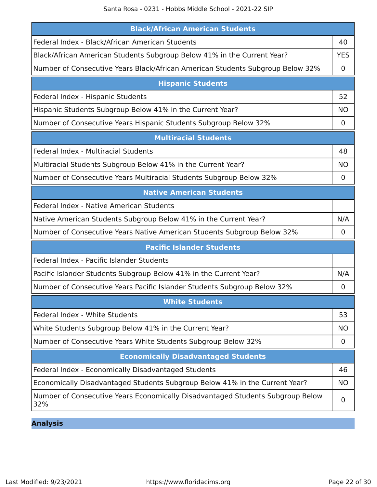Santa Rosa - 0231 - Hobbs Middle School - 2021-22 SIP

| <b>Black/African American Students</b>                                                |             |
|---------------------------------------------------------------------------------------|-------------|
| Federal Index - Black/African American Students                                       | 40          |
| Black/African American Students Subgroup Below 41% in the Current Year?               | <b>YES</b>  |
| Number of Consecutive Years Black/African American Students Subgroup Below 32%        | 0           |
| <b>Hispanic Students</b>                                                              |             |
| Federal Index - Hispanic Students                                                     | 52          |
| Hispanic Students Subgroup Below 41% in the Current Year?                             | <b>NO</b>   |
| Number of Consecutive Years Hispanic Students Subgroup Below 32%                      | 0           |
| <b>Multiracial Students</b>                                                           |             |
| Federal Index - Multiracial Students                                                  | 48          |
| Multiracial Students Subgroup Below 41% in the Current Year?                          | <b>NO</b>   |
| Number of Consecutive Years Multiracial Students Subgroup Below 32%                   | 0           |
| <b>Native American Students</b>                                                       |             |
| Federal Index - Native American Students                                              |             |
| Native American Students Subgroup Below 41% in the Current Year?                      | N/A         |
| Number of Consecutive Years Native American Students Subgroup Below 32%               | $\mathbf 0$ |
| <b>Pacific Islander Students</b>                                                      |             |
| Federal Index - Pacific Islander Students                                             |             |
| Pacific Islander Students Subgroup Below 41% in the Current Year?                     | N/A         |
| Number of Consecutive Years Pacific Islander Students Subgroup Below 32%              | 0           |
| <b>White Students</b>                                                                 |             |
| Federal Index - White Students                                                        | 53          |
| White Students Subgroup Below 41% in the Current Year?                                | <b>NO</b>   |
| Number of Consecutive Years White Students Subgroup Below 32%                         | 0           |
| <b>Economically Disadvantaged Students</b>                                            |             |
| Federal Index - Economically Disadvantaged Students                                   | 46          |
| Economically Disadvantaged Students Subgroup Below 41% in the Current Year?           | <b>NO</b>   |
| Number of Consecutive Years Economically Disadvantaged Students Subgroup Below<br>32% | 0           |

**Analysis**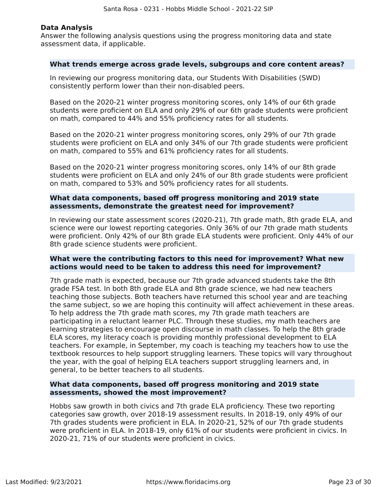#### **Data Analysis**

Answer the following analysis questions using the progress monitoring data and state assessment data, if applicable.

#### **What trends emerge across grade levels, subgroups and core content areas?**

In reviewing our progress monitoring data, our Students With Disabilities (SWD) consistently perform lower than their non-disabled peers.

Based on the 2020-21 winter progress monitoring scores, only 14% of our 6th grade students were proficient on ELA and only 29% of our 6th grade students were proficient on math, compared to 44% and 55% proficiency rates for all students.

Based on the 2020-21 winter progress monitoring scores, only 29% of our 7th grade students were proficient on ELA and only 34% of our 7th grade students were proficient on math, compared to 55% and 61% proficiency rates for all students.

Based on the 2020-21 winter progress monitoring scores, only 14% of our 8th grade students were proficient on ELA and only 24% of our 8th grade students were proficient on math, compared to 53% and 50% proficiency rates for all students.

#### **What data components, based off progress monitoring and 2019 state assessments, demonstrate the greatest need for improvement?**

In reviewing our state assessment scores (2020-21), 7th grade math, 8th grade ELA, and science were our lowest reporting categories. Only 36% of our 7th grade math students were proficient. Only 42% of our 8th grade ELA students were proficient. Only 44% of our 8th grade science students were proficient.

#### **What were the contributing factors to this need for improvement? What new actions would need to be taken to address this need for improvement?**

7th grade math is expected, because our 7th grade advanced students take the 8th grade FSA test. In both 8th grade ELA and 8th grade science, we had new teachers teaching those subjects. Both teachers have returned this school year and are teaching the same subject, so we are hoping this continuity will affect achievement in these areas. To help address the 7th grade math scores, my 7th grade math teachers are participating in a reluctant learner PLC. Through these studies, my math teachers are learning strategies to encourage open discourse in math classes. To help the 8th grade ELA scores, my literacy coach is providing monthly professional development to ELA teachers. For example, in September, my coach is teaching my teachers how to use the textbook resources to help support struggling learners. These topics will vary throughout the year, with the goal of helping ELA teachers support struggling learners and, in general, to be better teachers to all students.

#### **What data components, based off progress monitoring and 2019 state assessments, showed the most improvement?**

Hobbs saw growth in both civics and 7th grade ELA proficiency. These two reporting categories saw growth, over 2018-19 assessment results. In 2018-19, only 49% of our 7th grades students were proficient in ELA. In 2020-21, 52% of our 7th grade students were proficient in ELA. In 2018-19, only 61% of our students were proficient in civics. In 2020-21, 71% of our students were proficient in civics.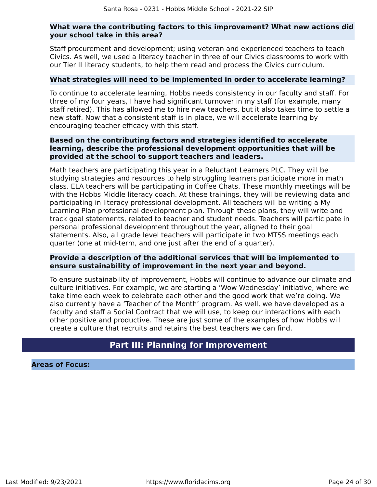#### **What were the contributing factors to this improvement? What new actions did your school take in this area?**

Staff procurement and development; using veteran and experienced teachers to teach Civics. As well, we used a literacy teacher in three of our Civics classrooms to work with our Tier II literacy students, to help them read and process the Civics curriculum.

#### **What strategies will need to be implemented in order to accelerate learning?**

To continue to accelerate learning, Hobbs needs consistency in our faculty and staff. For three of my four years, I have had significant turnover in my staff (for example, many staff retired). This has allowed me to hire new teachers, but it also takes time to settle a new staff. Now that a consistent staff is in place, we will accelerate learning by encouraging teacher efficacy with this staff.

#### **Based on the contributing factors and strategies identified to accelerate learning, describe the professional development opportunities that will be provided at the school to support teachers and leaders.**

Math teachers are participating this year in a Reluctant Learners PLC. They will be studying strategies and resources to help struggling learners participate more in math class. ELA teachers will be participating in Coffee Chats. These monthly meetings will be with the Hobbs Middle literacy coach. At these trainings, they will be reviewing data and participating in literacy professional development. All teachers will be writing a My Learning Plan professional development plan. Through these plans, they will write and track goal statements, related to teacher and student needs. Teachers will participate in personal professional development throughout the year, aligned to their goal statements. Also, all grade level teachers will participate in two MTSS meetings each quarter (one at mid-term, and one just after the end of a quarter).

#### **Provide a description of the additional services that will be implemented to ensure sustainability of improvement in the next year and beyond.**

To ensure sustainability of improvement, Hobbs will continue to advance our climate and culture initiatives. For example, we are starting a 'Wow Wednesday' initiative, where we take time each week to celebrate each other and the good work that we're doing. We also currently have a 'Teacher of the Month' program. As well, we have developed as a faculty and staff a Social Contract that we will use, to keep our interactions with each other positive and productive. These are just some of the examples of how Hobbs will create a culture that recruits and retains the best teachers we can find.

### **Part III: Planning for Improvement**

<span id="page-23-0"></span>**Areas of Focus:**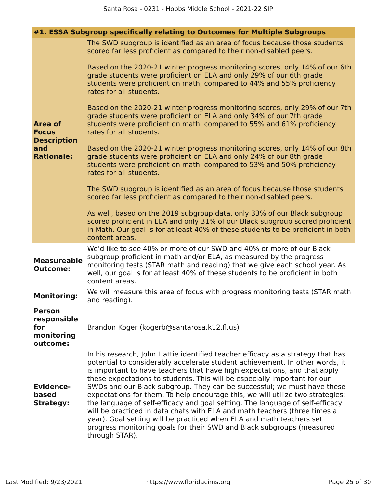|                                                      | #1. ESSA Subgroup specifically relating to Outcomes for Multiple Subgroups                                                                                                                                                                                                                                                                                                                                                                                                                                                                                                                                                                                                                                                                                                                                              |
|------------------------------------------------------|-------------------------------------------------------------------------------------------------------------------------------------------------------------------------------------------------------------------------------------------------------------------------------------------------------------------------------------------------------------------------------------------------------------------------------------------------------------------------------------------------------------------------------------------------------------------------------------------------------------------------------------------------------------------------------------------------------------------------------------------------------------------------------------------------------------------------|
|                                                      | The SWD subgroup is identified as an area of focus because those students<br>scored far less proficient as compared to their non-disabled peers.                                                                                                                                                                                                                                                                                                                                                                                                                                                                                                                                                                                                                                                                        |
|                                                      | Based on the 2020-21 winter progress monitoring scores, only 14% of our 6th<br>grade students were proficient on ELA and only 29% of our 6th grade<br>students were proficient on math, compared to 44% and 55% proficiency<br>rates for all students.                                                                                                                                                                                                                                                                                                                                                                                                                                                                                                                                                                  |
| <b>Area of</b><br><b>Focus</b><br><b>Description</b> | Based on the 2020-21 winter progress monitoring scores, only 29% of our 7th<br>grade students were proficient on ELA and only 34% of our 7th grade<br>students were proficient on math, compared to 55% and 61% proficiency<br>rates for all students.                                                                                                                                                                                                                                                                                                                                                                                                                                                                                                                                                                  |
| and<br><b>Rationale:</b>                             | Based on the 2020-21 winter progress monitoring scores, only 14% of our 8th<br>grade students were proficient on ELA and only 24% of our 8th grade<br>students were proficient on math, compared to 53% and 50% proficiency<br>rates for all students.                                                                                                                                                                                                                                                                                                                                                                                                                                                                                                                                                                  |
|                                                      | The SWD subgroup is identified as an area of focus because those students<br>scored far less proficient as compared to their non-disabled peers.                                                                                                                                                                                                                                                                                                                                                                                                                                                                                                                                                                                                                                                                        |
|                                                      | As well, based on the 2019 subgroup data, only 33% of our Black subgroup<br>scored proficient in ELA and only 31% of our Black subgroup scored proficient<br>in Math. Our goal is for at least 40% of these students to be proficient in both<br>content areas.                                                                                                                                                                                                                                                                                                                                                                                                                                                                                                                                                         |
| <b>Measureable</b><br><b>Outcome:</b>                | We'd like to see 40% or more of our SWD and 40% or more of our Black<br>subgroup proficient in math and/or ELA, as measured by the progress<br>monitoring tests (STAR math and reading) that we give each school year. As<br>well, our goal is for at least 40% of these students to be proficient in both<br>content areas.                                                                                                                                                                                                                                                                                                                                                                                                                                                                                            |
| <b>Monitoring:</b>                                   | We will measure this area of focus with progress monitoring tests (STAR math<br>and reading).                                                                                                                                                                                                                                                                                                                                                                                                                                                                                                                                                                                                                                                                                                                           |
| <b>Person</b><br>responsible<br>for                  | Brandon Koger (kogerb@santarosa.k12.fl.us)                                                                                                                                                                                                                                                                                                                                                                                                                                                                                                                                                                                                                                                                                                                                                                              |
| monitoring<br>outcome:                               |                                                                                                                                                                                                                                                                                                                                                                                                                                                                                                                                                                                                                                                                                                                                                                                                                         |
| <b>Evidence-</b><br>based<br><b>Strategy:</b>        | In his research, John Hattie identified teacher efficacy as a strategy that has<br>potential to considerably accelerate student achievement. In other words, it<br>is important to have teachers that have high expectations, and that apply<br>these expectations to students. This will be especially important for our<br>SWDs and our Black subgroup. They can be successful; we must have these<br>expectations for them. To help encourage this, we will utilize two strategies:<br>the language of self-efficacy and goal setting. The language of self-efficacy<br>will be practiced in data chats with ELA and math teachers (three times a<br>year). Goal setting will be practiced when ELA and math teachers set<br>progress monitoring goals for their SWD and Black subgroups (measured<br>through STAR). |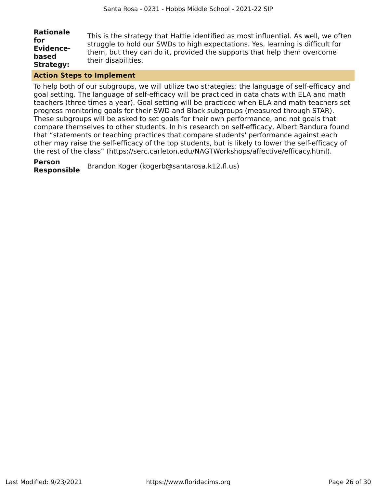| <b>Rationale</b> | This is the strategy that Hattie identified as most influential. As well, we often |
|------------------|------------------------------------------------------------------------------------|
| for              | struggle to hold our SWDs to high expectations. Yes, learning is difficult for     |
| <b>Evidence-</b> | them, but they can do it, provided the supports that help them overcome            |
| based            | their disabilities.                                                                |
| <b>Strategy:</b> |                                                                                    |

#### **Action Steps to Implement**

To help both of our subgroups, we will utilize two strategies: the language of self-efficacy and goal setting. The language of self-efficacy will be practiced in data chats with ELA and math teachers (three times a year). Goal setting will be practiced when ELA and math teachers set progress monitoring goals for their SWD and Black subgroups (measured through STAR). These subgroups will be asked to set goals for their own performance, and not goals that compare themselves to other students. In his research on self-efficacy, Albert Bandura found that "statements or teaching practices that compare students' performance against each other may raise the self-efficacy of the top students, but is likely to lower the self-efficacy of the rest of the class" (https://serc.carleton.edu/NAGTWorkshops/affective/efficacy.html).

#### **Person**

**Responsible** Brandon Koger (kogerb@santarosa.k12.fl.us)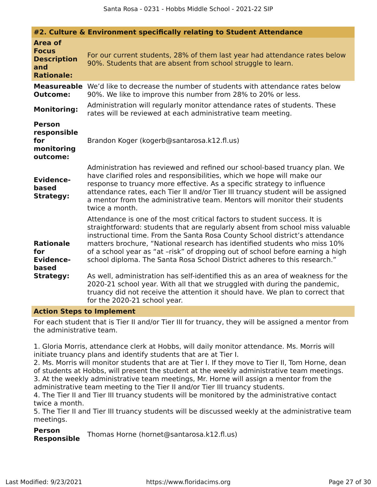|                                                                                  | #2. Culture & Environment specifically relating to Student Attendance                                                                                                                                                                                                                                                                                                                                                                                                                                                                                                                                                                                |
|----------------------------------------------------------------------------------|------------------------------------------------------------------------------------------------------------------------------------------------------------------------------------------------------------------------------------------------------------------------------------------------------------------------------------------------------------------------------------------------------------------------------------------------------------------------------------------------------------------------------------------------------------------------------------------------------------------------------------------------------|
| <b>Area of</b><br><b>Focus</b><br><b>Description</b><br>and<br><b>Rationale:</b> | For our current students, 28% of them last year had attendance rates below<br>90%. Students that are absent from school struggle to learn.                                                                                                                                                                                                                                                                                                                                                                                                                                                                                                           |
| <b>Outcome:</b>                                                                  | <b>Measureable</b> We'd like to decrease the number of students with attendance rates below<br>90%. We like to improve this number from 28% to 20% or less.                                                                                                                                                                                                                                                                                                                                                                                                                                                                                          |
| <b>Monitoring:</b>                                                               | Administration will regularly monitor attendance rates of students. These<br>rates will be reviewed at each administrative team meeting.                                                                                                                                                                                                                                                                                                                                                                                                                                                                                                             |
| <b>Person</b><br>responsible<br>for<br>monitoring<br>outcome:                    | Brandon Koger (kogerb@santarosa.k12.fl.us)                                                                                                                                                                                                                                                                                                                                                                                                                                                                                                                                                                                                           |
| <b>Evidence-</b><br>based<br><b>Strategy:</b>                                    | Administration has reviewed and refined our school-based truancy plan. We<br>have clarified roles and responsibilities, which we hope will make our<br>response to truancy more effective. As a specific strategy to influence<br>attendance rates, each Tier II and/or Tier III truancy student will be assigned<br>a mentor from the administrative team. Mentors will monitor their students<br>twice a month.                                                                                                                                                                                                                                    |
| <b>Rationale</b><br>for<br><b>Evidence-</b><br>based<br><b>Strategy:</b>         | Attendance is one of the most critical factors to student success. It is<br>straightforward: students that are regularly absent from school miss valuable<br>instructional time. From the Santa Rosa County School district's attendance<br>matters brochure, "National research has identified students who miss 10%<br>of a school year as "at -risk" of dropping out of school before earning a high<br>school diploma. The Santa Rosa School District adheres to this research."<br>As well, administration has self-identified this as an area of weakness for the<br>2020-21 school year. With all that we struggled with during the pandemic, |
|                                                                                  | truancy did not receive the attention it should have. We plan to correct that<br>for the 2020-21 school year.                                                                                                                                                                                                                                                                                                                                                                                                                                                                                                                                        |

#### **Action Steps to Implement**

For each student that is Tier II and/or Tier III for truancy, they will be assigned a mentor from the administrative team.

1. Gloria Morris, attendance clerk at Hobbs, will daily monitor attendance. Ms. Morris will initiate truancy plans and identify students that are at Tier I.

2. Ms. Morris will monitor students that are at Tier I. If they move to Tier II, Tom Horne, dean of students at Hobbs, will present the student at the weekly administrative team meetings. 3. At the weekly administrative team meetings, Mr. Horne will assign a mentor from the administrative team meeting to the Tier II and/or Tier III truancy students.

4. The Tier II and Tier III truancy students will be monitored by the administrative contact twice a month.

5. The Tier II and Tier III truancy students will be discussed weekly at the administrative team meetings.

**Person Responsible** Thomas Horne (hornet@santarosa.k12.fl.us)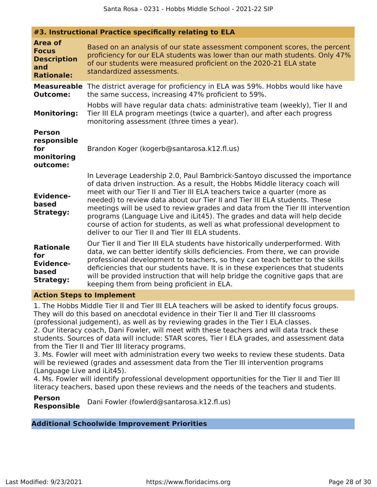| #3. Instructional Practice specifically relating to ELA                          |                                                                                                                                                                                                                                                                                                                                                                                                                                                                                                                                                                                                                        |
|----------------------------------------------------------------------------------|------------------------------------------------------------------------------------------------------------------------------------------------------------------------------------------------------------------------------------------------------------------------------------------------------------------------------------------------------------------------------------------------------------------------------------------------------------------------------------------------------------------------------------------------------------------------------------------------------------------------|
| <b>Area of</b><br><b>Focus</b><br><b>Description</b><br>and<br><b>Rationale:</b> | Based on an analysis of our state assessment component scores, the percent<br>proficiency for our ELA students was lower than our math students. Only 47%<br>of our students were measured proficient on the 2020-21 ELA state<br>standardized assessments.                                                                                                                                                                                                                                                                                                                                                            |
| <b>Outcome:</b><br><b>Monitoring:</b>                                            | <b>Measureable</b> The district average for proficiency in ELA was 59%. Hobbs would like have<br>the same success, increasing 47% proficient to 59%.<br>Hobbs will have regular data chats: administrative team (weekly), Tier II and<br>Tier III ELA program meetings (twice a quarter), and after each progress<br>monitoring assessment (three times a year).                                                                                                                                                                                                                                                       |
| <b>Person</b><br>responsible<br>for<br>monitoring<br>outcome:                    | Brandon Koger (kogerb@santarosa.k12.fl.us)                                                                                                                                                                                                                                                                                                                                                                                                                                                                                                                                                                             |
| <b>Evidence-</b><br>based<br><b>Strategy:</b>                                    | In Leverage Leadership 2.0, Paul Bambrick-Santoyo discussed the importance<br>of data driven instruction. As a result, the Hobbs Middle literacy coach will<br>meet with our Tier II and Tier III ELA teachers twice a quarter (more as<br>needed) to review data about our Tier II and Tier III ELA students. These<br>meetings will be used to review grades and data from the Tier III intervention<br>programs (Language Live and iLit45). The grades and data will help decide<br>course of action for students, as well as what professional development to<br>deliver to our Tier II and Tier III ELA students. |
| <b>Rationale</b><br>for<br><b>Evidence-</b><br>based<br><b>Strategy:</b>         | Our Tier II and Tier III ELA students have historically underperformed. With<br>data, we can better identify skills deficiencies. From there, we can provide<br>professional development to teachers, so they can teach better to the skills<br>deficiencies that our students have. It is in these experiences that students<br>will be provided instruction that will help bridge the cognitive gaps that are<br>keeping them from being proficient in ELA.                                                                                                                                                          |

#### **Action Steps to Implement**

1. The Hobbs Middle Tier II and Tier III ELA teachers will be asked to identify focus groups. They will do this based on anecdotal evidence in their Tier II and Tier III classrooms (professional judgement), as well as by reviewing grades in the Tier I ELA classes. 2. Our literacy coach, Dani Fowler, will meet with these teachers and will data track these students. Sources of data will include: STAR scores, Tier I ELA grades, and assessment data from the Tier II and Tier III literacy programs.

3. Ms. Fowler will meet with administration every two weeks to review these students. Data will be reviewed (grades and assessment data from the Tier III intervention programs (Language Live and iLit45).

4. Ms. Fowler will identify professional development opportunities for the Tier II and Tier III literacy teachers, based upon these reviews and the needs of the teachers and students.

**Person Responsible** Dani Fowler (fowlerd@santarosa.k12.fl.us)

**Additional Schoolwide Improvement Priorities**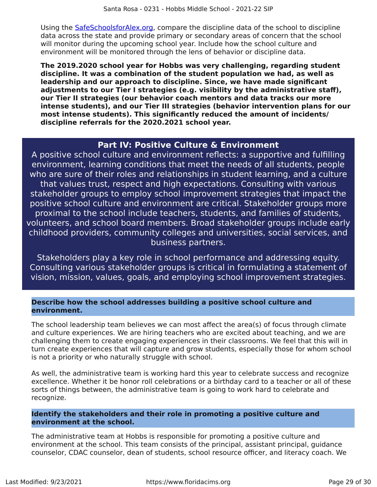Using the [SafeSchoolsforAlex.org,](https://www.safeschoolsforalex.org/fl-school-safety-dashboard/) compare the discipline data of the school to discipline data across the state and provide primary or secondary areas of concern that the school will monitor during the upcoming school year. Include how the school culture and environment will be monitored through the lens of behavior or discipline data.

**The 2019.2020 school year for Hobbs was very challenging, regarding student discipline. It was a combination of the student population we had, as well as leadership and our approach to discipline. Since, we have made significant adjustments to our Tier I strategies (e.g. visibility by the administrative staff), our Tier II strategies (our behavior coach mentors and data tracks our more intense students), and our Tier III strategies (behavior intervention plans for our most intense students). This significantly reduced the amount of incidents/ discipline referrals for the 2020.2021 school year.**

### **Part IV: Positive Culture & Environment**

<span id="page-28-0"></span>A positive school culture and environment reflects: a supportive and fulfilling environment, learning conditions that meet the needs of all students, people who are sure of their roles and relationships in student learning, and a culture that values trust, respect and high expectations. Consulting with various stakeholder groups to employ school improvement strategies that impact the positive school culture and environment are critical. Stakeholder groups more proximal to the school include teachers, students, and families of students, volunteers, and school board members. Broad stakeholder groups include early childhood providers, community colleges and universities, social services, and business partners.

Stakeholders play a key role in school performance and addressing equity. Consulting various stakeholder groups is critical in formulating a statement of vision, mission, values, goals, and employing school improvement strategies.

#### **Describe how the school addresses building a positive school culture and environment.**

The school leadership team believes we can most affect the area(s) of focus through climate and culture experiences. We are hiring teachers who are excited about teaching, and we are challenging them to create engaging experiences in their classrooms. We feel that this will in turn create experiences that will capture and grow students, especially those for whom school is not a priority or who naturally struggle with school.

As well, the administrative team is working hard this year to celebrate success and recognize excellence. Whether it be honor roll celebrations or a birthday card to a teacher or all of these sorts of things between, the administrative team is going to work hard to celebrate and recognize.

#### **Identify the stakeholders and their role in promoting a positive culture and environment at the school.**

The administrative team at Hobbs is responsible for promoting a positive culture and environment at the school. This team consists of the principal, assistant principal, guidance counselor, CDAC counselor, dean of students, school resource officer, and literacy coach. We